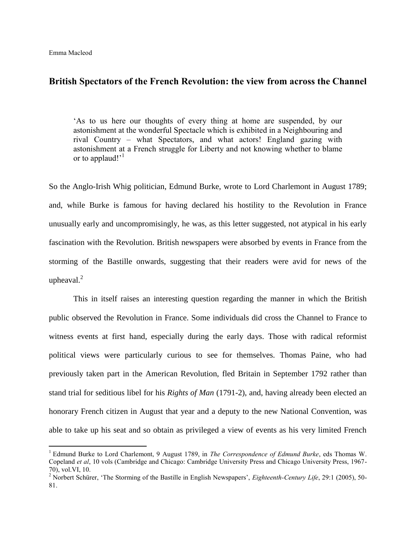$\overline{a}$ 

# **British Spectators of the French Revolution: the view from across the Channel**

'As to us here our thoughts of every thing at home are suspended, by our astonishment at the wonderful Spectacle which is exhibited in a Neighbouring and rival Country – what Spectators, and what actors! England gazing with astonishment at a French struggle for Liberty and not knowing whether to blame or to applaud!'<sup>1</sup>

So the Anglo-Irish Whig politician, Edmund Burke, wrote to Lord Charlemont in August 1789; and, while Burke is famous for having declared his hostility to the Revolution in France unusually early and uncompromisingly, he was, as this letter suggested, not atypical in his early fascination with the Revolution. British newspapers were absorbed by events in France from the storming of the Bastille onwards, suggesting that their readers were avid for news of the upheaval. $^{2}$ 

This in itself raises an interesting question regarding the manner in which the British public observed the Revolution in France. Some individuals did cross the Channel to France to witness events at first hand, especially during the early days. Those with radical reformist political views were particularly curious to see for themselves. Thomas Paine, who had previously taken part in the American Revolution, fled Britain in September 1792 rather than stand trial for seditious libel for his *Rights of Man* (1791-2), and, having already been elected an honorary French citizen in August that year and a deputy to the new National Convention, was able to take up his seat and so obtain as privileged a view of events as his very limited French

<sup>&</sup>lt;sup>1</sup> Edmund Burke to Lord Charlemont, 9 August 1789, in *The Correspondence of Edmund Burke*, eds Thomas W. Copeland *et al*, 10 vols (Cambridge and Chicago: Cambridge University Press and Chicago University Press, 1967- 70), vol.VI, 10.

<sup>&</sup>lt;sup>2</sup> Norbert Schürer, 'The Storming of the Bastille in English Newspapers', *Eighteenth-Century Life*, 29:1 (2005), 50-81.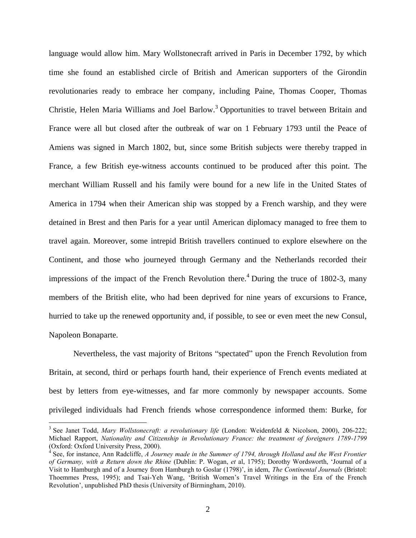language would allow him. Mary Wollstonecraft arrived in Paris in December 1792, by which time she found an established circle of British and American supporters of the Girondin revolutionaries ready to embrace her company, including Paine, Thomas Cooper, Thomas Christie, Helen Maria Williams and Joel Barlow.<sup>3</sup> Opportunities to travel between Britain and France were all but closed after the outbreak of war on 1 February 1793 until the Peace of Amiens was signed in March 1802, but, since some British subjects were thereby trapped in France, a few British eye-witness accounts continued to be produced after this point. The merchant William Russell and his family were bound for a new life in the United States of America in 1794 when their American ship was stopped by a French warship, and they were detained in Brest and then Paris for a year until American diplomacy managed to free them to travel again. Moreover, some intrepid British travellers continued to explore elsewhere on the Continent, and those who journeyed through Germany and the Netherlands recorded their impressions of the impact of the French Revolution there.<sup>4</sup> During the truce of 1802-3, many members of the British elite, who had been deprived for nine years of excursions to France, hurried to take up the renewed opportunity and, if possible, to see or even meet the new Consul, Napoleon Bonaparte.

Nevertheless, the vast majority of Britons "spectated" upon the French Revolution from Britain, at second, third or perhaps fourth hand, their experience of French events mediated at best by letters from eye-witnesses, and far more commonly by newspaper accounts. Some privileged individuals had French friends whose correspondence informed them: Burke, for

<sup>&</sup>lt;sup>3</sup> See Janet Todd, *Mary Wollstonecraft: a revolutionary life* (London: Weidenfeld & Nicolson, 2000), 206-222; Michael Rapport, *Nationality and Citizenship in Revolutionary France: the treatment of foreigners 1789-1799*  (Oxford: Oxford University Press, 2000).

<sup>&</sup>lt;sup>4</sup> See, for instance, Ann Radcliffe, *A Journey made in the Summer of 1794, through Holland and the West Frontier of Germany, with a Return down the Rhine* (Dublin: P. Wogan, *et* al, 1795); Dorothy Wordsworth, 'Journal of a Visit to Hamburgh and of a Journey from Hamburgh to Goslar (1798)', in idem, *The Continental Journals* (Bristol: Thoemmes Press, 1995); and Tsai-Yeh Wang, 'British Women's Travel Writings in the Era of the French Revolution', unpublished PhD thesis (University of Birmingham, 2010).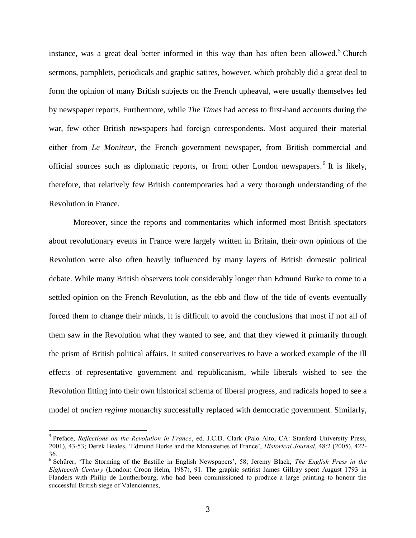instance, was a great deal better informed in this way than has often been allowed.<sup>5</sup> Church sermons, pamphlets, periodicals and graphic satires, however, which probably did a great deal to form the opinion of many British subjects on the French upheaval, were usually themselves fed by newspaper reports. Furthermore, while *The Times* had access to first-hand accounts during the war, few other British newspapers had foreign correspondents. Most acquired their material either from *Le Moniteur*, the French government newspaper, from British commercial and official sources such as diplomatic reports, or from other London newspapers.<sup>6</sup> It is likely, therefore, that relatively few British contemporaries had a very thorough understanding of the Revolution in France.

Moreover, since the reports and commentaries which informed most British spectators about revolutionary events in France were largely written in Britain, their own opinions of the Revolution were also often heavily influenced by many layers of British domestic political debate. While many British observers took considerably longer than Edmund Burke to come to a settled opinion on the French Revolution, as the ebb and flow of the tide of events eventually forced them to change their minds, it is difficult to avoid the conclusions that most if not all of them saw in the Revolution what they wanted to see, and that they viewed it primarily through the prism of British political affairs. It suited conservatives to have a worked example of the ill effects of representative government and republicanism, while liberals wished to see the Revolution fitting into their own historical schema of liberal progress, and radicals hoped to see a model of *ancien regime* monarchy successfully replaced with democratic government. Similarly,

<sup>5</sup> Preface, *Reflections on the Revolution in France*, ed. J.C.D. Clark (Palo Alto, CA: Stanford University Press, 2001), 43-53; Derek Beales, 'Edmund Burke and the Monasteries of France', *Historical Journal*, 48:2 (2005), 422- 36.

<sup>6</sup> Schürer, 'The Storming of the Bastille in English Newspapers', 58; Jeremy Black, *The English Press in the Eighteenth Century* (London: Croon Helm, 1987), 91. The graphic satirist James Gillray spent August 1793 in Flanders with Philip de Loutherbourg, who had been commissioned to produce a large painting to honour the successful British siege of Valenciennes,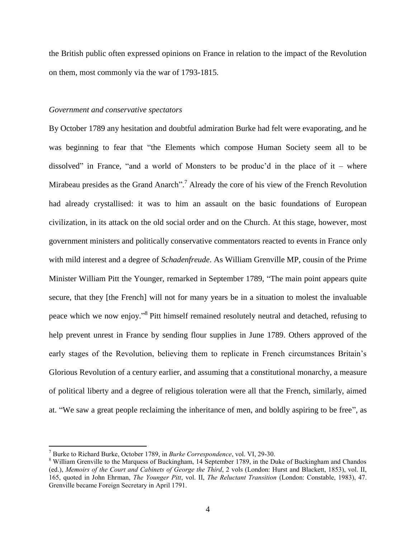the British public often expressed opinions on France in relation to the impact of the Revolution on them, most commonly via the war of 1793-1815.

## *Government and conservative spectators*

By October 1789 any hesitation and doubtful admiration Burke had felt were evaporating, and he was beginning to fear that "the Elements which compose Human Society seem all to be dissolved" in France, "and a world of Monsters to be produc'd in the place of it – where Mirabeau presides as the Grand Anarch".<sup>7</sup> Already the core of his view of the French Revolution had already crystallised: it was to him an assault on the basic foundations of European civilization, in its attack on the old social order and on the Church. At this stage, however, most government ministers and politically conservative commentators reacted to events in France only with mild interest and a degree of *Schadenfreude*. As William Grenville MP, cousin of the Prime Minister William Pitt the Younger, remarked in September 1789, "The main point appears quite secure, that they [the French] will not for many years be in a situation to molest the invaluable peace which we now enjoy."<sup>8</sup> Pitt himself remained resolutely neutral and detached, refusing to help prevent unrest in France by sending flour supplies in June 1789. Others approved of the early stages of the Revolution, believing them to replicate in French circumstances Britain's Glorious Revolution of a century earlier, and assuming that a constitutional monarchy, a measure of political liberty and a degree of religious toleration were all that the French, similarly, aimed at. "We saw a great people reclaiming the inheritance of men, and boldly aspiring to be free", as

<sup>7</sup> Burke to Richard Burke, October 1789, in *Burke Correspondence*, vol. VI, 29-30.

<sup>&</sup>lt;sup>8</sup> William Grenville to the Marquess of Buckingham, 14 September 1789, in the Duke of Buckingham and Chandos (ed.), *Memoirs of the Court and Cabinets of George the Third*, 2 vols (London: Hurst and Blackett, 1853), vol. II, 165, quoted in John Ehrman, *The Younger Pitt*, vol. II, *The Reluctant Transition* (London: Constable, 1983), 47. Grenville became Foreign Secretary in April 1791.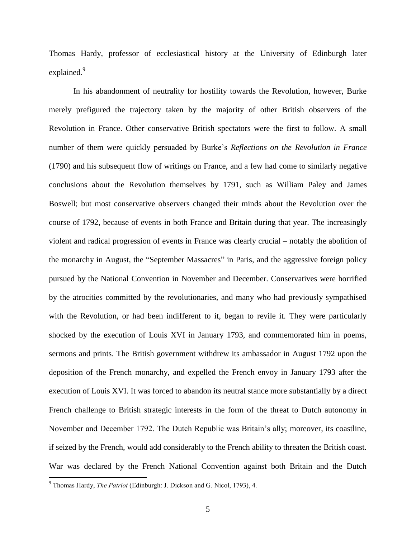Thomas Hardy, professor of ecclesiastical history at the University of Edinburgh later explained.<sup>9</sup>

In his abandonment of neutrality for hostility towards the Revolution, however, Burke merely prefigured the trajectory taken by the majority of other British observers of the Revolution in France. Other conservative British spectators were the first to follow. A small number of them were quickly persuaded by Burke's *Reflections on the Revolution in France* (1790) and his subsequent flow of writings on France, and a few had come to similarly negative conclusions about the Revolution themselves by 1791, such as William Paley and James Boswell; but most conservative observers changed their minds about the Revolution over the course of 1792, because of events in both France and Britain during that year. The increasingly violent and radical progression of events in France was clearly crucial – notably the abolition of the monarchy in August, the "September Massacres" in Paris, and the aggressive foreign policy pursued by the National Convention in November and December. Conservatives were horrified by the atrocities committed by the revolutionaries, and many who had previously sympathised with the Revolution, or had been indifferent to it, began to revile it. They were particularly shocked by the execution of Louis XVI in January 1793, and commemorated him in poems, sermons and prints. The British government withdrew its ambassador in August 1792 upon the deposition of the French monarchy, and expelled the French envoy in January 1793 after the execution of Louis XVI. It was forced to abandon its neutral stance more substantially by a direct French challenge to British strategic interests in the form of the threat to Dutch autonomy in November and December 1792. The Dutch Republic was Britain's ally; moreover, its coastline, if seized by the French, would add considerably to the French ability to threaten the British coast. War was declared by the French National Convention against both Britain and the Dutch

<sup>9</sup> Thomas Hardy, *The Patriot* (Edinburgh: J. Dickson and G. Nicol, 1793), 4.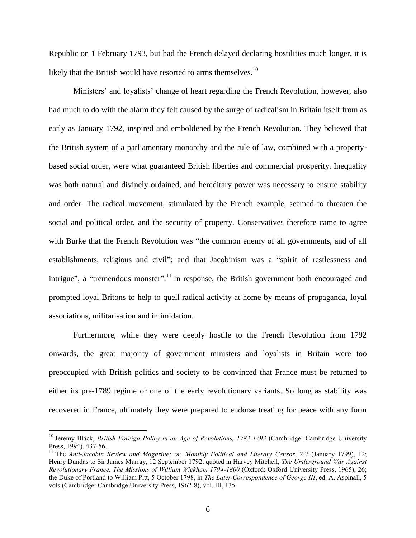Republic on 1 February 1793, but had the French delayed declaring hostilities much longer, it is likely that the British would have resorted to arms themselves.<sup>10</sup>

Ministers' and loyalists' change of heart regarding the French Revolution, however, also had much to do with the alarm they felt caused by the surge of radicalism in Britain itself from as early as January 1792, inspired and emboldened by the French Revolution. They believed that the British system of a parliamentary monarchy and the rule of law, combined with a propertybased social order, were what guaranteed British liberties and commercial prosperity. Inequality was both natural and divinely ordained, and hereditary power was necessary to ensure stability and order. The radical movement, stimulated by the French example, seemed to threaten the social and political order, and the security of property. Conservatives therefore came to agree with Burke that the French Revolution was "the common enemy of all governments, and of all establishments, religious and civil"; and that Jacobinism was a "spirit of restlessness and intrigue", a "tremendous monster".<sup>11</sup> In response, the British government both encouraged and prompted loyal Britons to help to quell radical activity at home by means of propaganda, loyal associations, militarisation and intimidation.

Furthermore, while they were deeply hostile to the French Revolution from 1792 onwards, the great majority of government ministers and loyalists in Britain were too preoccupied with British politics and society to be convinced that France must be returned to either its pre-1789 regime or one of the early revolutionary variants. So long as stability was recovered in France, ultimately they were prepared to endorse treating for peace with any form

<sup>&</sup>lt;sup>10</sup> Jeremy Black, *British Foreign Policy in an Age of Revolutions, 1783-1793* (Cambridge: Cambridge University Press, 1994), 437-56.

<sup>&</sup>lt;sup>11</sup> The *Anti-Jacobin Review and Magazine; or, Monthly Political and Literary Censor*, 2:7 (January 1799), 12; Henry Dundas to Sir James Murray, 12 September 1792, quoted in Harvey Mitchell, *The Underground War Against Revolutionary France. The Missions of William Wickham 1794-1800* (Oxford: Oxford University Press, 1965), 26; the Duke of Portland to William Pitt, 5 October 1798, in *The Later Correspondence of George III*, ed. A. Aspinall, 5 vols (Cambridge: Cambridge University Press, 1962-8), vol. III, 135.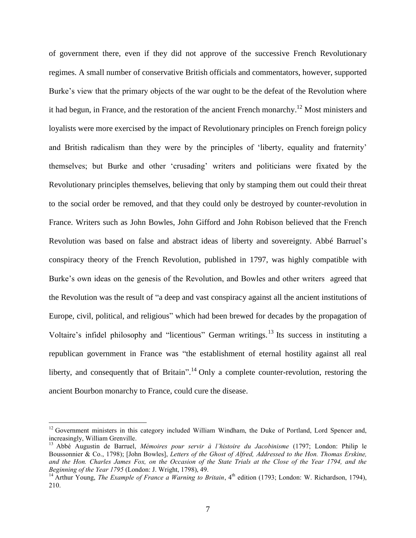of government there, even if they did not approve of the successive French Revolutionary regimes. A small number of conservative British officials and commentators, however, supported Burke's view that the primary objects of the war ought to be the defeat of the Revolution where it had begun, in France, and the restoration of the ancient French monarchy.<sup>12</sup> Most ministers and loyalists were more exercised by the impact of Revolutionary principles on French foreign policy and British radicalism than they were by the principles of 'liberty, equality and fraternity' themselves; but Burke and other 'crusading' writers and politicians were fixated by the Revolutionary principles themselves, believing that only by stamping them out could their threat to the social order be removed, and that they could only be destroyed by counter-revolution in France. Writers such as John Bowles, John Gifford and John Robison believed that the French Revolution was based on false and abstract ideas of liberty and sovereignty. Abbé Barruel's conspiracy theory of the French Revolution, published in 1797, was highly compatible with Burke's own ideas on the genesis of the Revolution, and Bowles and other writers agreed that the Revolution was the result of "a deep and vast conspiracy against all the ancient institutions of Europe, civil, political, and religious" which had been brewed for decades by the propagation of Voltaire's infidel philosophy and "licentious" German writings.<sup>13</sup> Its success in instituting a republican government in France was "the establishment of eternal hostility against all real liberty, and consequently that of Britain".<sup>14</sup> Only a complete counter-revolution, restoring the ancient Bourbon monarchy to France, could cure the disease.

<sup>&</sup>lt;sup>12</sup> Government ministers in this category included William Windham, the Duke of Portland, Lord Spencer and, increasingly, William Grenville.

<sup>13</sup> Abbé Augustin de Barruel, *Mémoires pour servir à l'histoire du Jacobinisme* (1797; London: Philip le Boussonnier & Co., 1798); [John Bowles], *Letters of the Ghost of Alfred, Addressed to the Hon. Thomas Erskine, and the Hon. Charles James Fox, on the Occasion of the State Trials at the Close of the Year 1794, and the Beginning of the Year 1795* (London: J. Wright, 1798), 49.

<sup>&</sup>lt;sup>14</sup> Arthur Young, *The Example of France a Warning to Britain*, 4<sup>th</sup> edition (1793; London: W. Richardson, 1794), 210.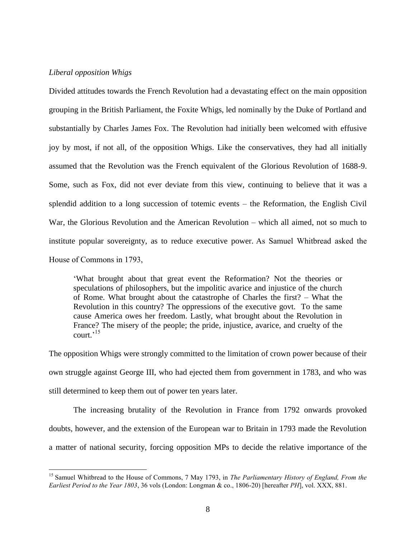# *Liberal opposition Whigs*

 $\overline{a}$ 

Divided attitudes towards the French Revolution had a devastating effect on the main opposition grouping in the British Parliament, the Foxite Whigs, led nominally by the Duke of Portland and substantially by Charles James Fox. The Revolution had initially been welcomed with effusive joy by most, if not all, of the opposition Whigs. Like the conservatives, they had all initially assumed that the Revolution was the French equivalent of the Glorious Revolution of 1688-9. Some, such as Fox, did not ever deviate from this view, continuing to believe that it was a splendid addition to a long succession of totemic events – the Reformation, the English Civil War, the Glorious Revolution and the American Revolution – which all aimed, not so much to institute popular sovereignty, as to reduce executive power. As Samuel Whitbread asked the House of Commons in 1793,

'What brought about that great event the Reformation? Not the theories or speculations of philosophers, but the impolitic avarice and injustice of the church of Rome. What brought about the catastrophe of Charles the first? – What the Revolution in this country? The oppressions of the executive govt. To the same cause America owes her freedom. Lastly, what brought about the Revolution in France? The misery of the people; the pride, injustice, avarice, and cruelty of the court.' 15

The opposition Whigs were strongly committed to the limitation of crown power because of their own struggle against George III, who had ejected them from government in 1783, and who was still determined to keep them out of power ten years later.

The increasing brutality of the Revolution in France from 1792 onwards provoked doubts, however, and the extension of the European war to Britain in 1793 made the Revolution a matter of national security, forcing opposition MPs to decide the relative importance of the

<sup>15</sup> Samuel Whitbread to the House of Commons, 7 May 1793, in *The Parliamentary History of England, From the Earliest Period to the Year 1803*, 36 vols (London: Longman & co., 1806-20) [hereafter *PH*], vol. XXX, 881.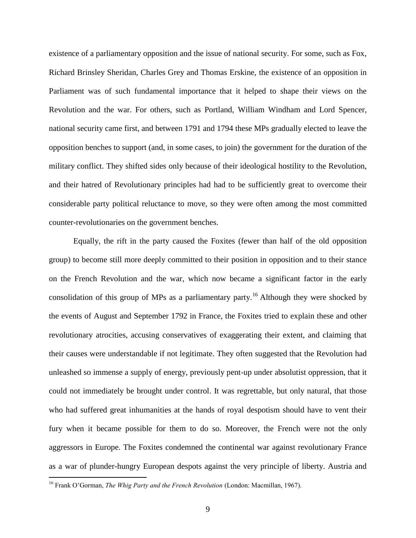existence of a parliamentary opposition and the issue of national security. For some, such as Fox, Richard Brinsley Sheridan, Charles Grey and Thomas Erskine, the existence of an opposition in Parliament was of such fundamental importance that it helped to shape their views on the Revolution and the war. For others, such as Portland, William Windham and Lord Spencer, national security came first, and between 1791 and 1794 these MPs gradually elected to leave the opposition benches to support (and, in some cases, to join) the government for the duration of the military conflict. They shifted sides only because of their ideological hostility to the Revolution, and their hatred of Revolutionary principles had had to be sufficiently great to overcome their considerable party political reluctance to move, so they were often among the most committed counter-revolutionaries on the government benches.

Equally, the rift in the party caused the Foxites (fewer than half of the old opposition group) to become still more deeply committed to their position in opposition and to their stance on the French Revolution and the war, which now became a significant factor in the early consolidation of this group of MPs as a parliamentary party.<sup>16</sup> Although they were shocked by the events of August and September 1792 in France, the Foxites tried to explain these and other revolutionary atrocities, accusing conservatives of exaggerating their extent, and claiming that their causes were understandable if not legitimate. They often suggested that the Revolution had unleashed so immense a supply of energy, previously pent-up under absolutist oppression, that it could not immediately be brought under control. It was regrettable, but only natural, that those who had suffered great inhumanities at the hands of royal despotism should have to vent their fury when it became possible for them to do so. Moreover, the French were not the only aggressors in Europe. The Foxites condemned the continental war against revolutionary France as a war of plunder-hungry European despots against the very principle of liberty. Austria and

<sup>16</sup> Frank O'Gorman, *The Whig Party and the French Revolution* (London: Macmillan, 1967).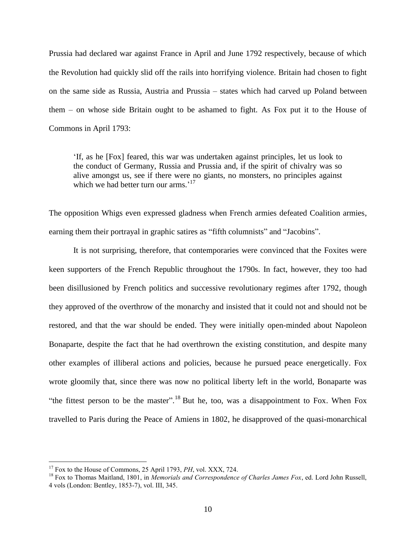Prussia had declared war against France in April and June 1792 respectively, because of which the Revolution had quickly slid off the rails into horrifying violence. Britain had chosen to fight on the same side as Russia, Austria and Prussia – states which had carved up Poland between them – on whose side Britain ought to be ashamed to fight. As Fox put it to the House of Commons in April 1793:

'If, as he [Fox] feared, this war was undertaken against principles, let us look to the conduct of Germany, Russia and Prussia and, if the spirit of chivalry was so alive amongst us, see if there were no giants, no monsters, no principles against which we had better turn our arms.'<sup>17</sup>

The opposition Whigs even expressed gladness when French armies defeated Coalition armies, earning them their portrayal in graphic satires as "fifth columnists" and "Jacobins".

It is not surprising, therefore, that contemporaries were convinced that the Foxites were keen supporters of the French Republic throughout the 1790s. In fact, however, they too had been disillusioned by French politics and successive revolutionary regimes after 1792, though they approved of the overthrow of the monarchy and insisted that it could not and should not be restored, and that the war should be ended. They were initially open-minded about Napoleon Bonaparte, despite the fact that he had overthrown the existing constitution, and despite many other examples of illiberal actions and policies, because he pursued peace energetically. Fox wrote gloomily that, since there was now no political liberty left in the world, Bonaparte was "the fittest person to be the master".<sup>18</sup> But he, too, was a disappointment to Fox. When Fox travelled to Paris during the Peace of Amiens in 1802, he disapproved of the quasi-monarchical

<sup>&</sup>lt;sup>17</sup> Fox to the House of Commons, 25 April 1793, *PH*, vol. XXX, 724.

<sup>18</sup> Fox to Thomas Maitland, 1801, in *Memorials and Correspondence of Charles James Fox*, ed. Lord John Russell, 4 vols (London: Bentley, 1853-7), vol. III, 345.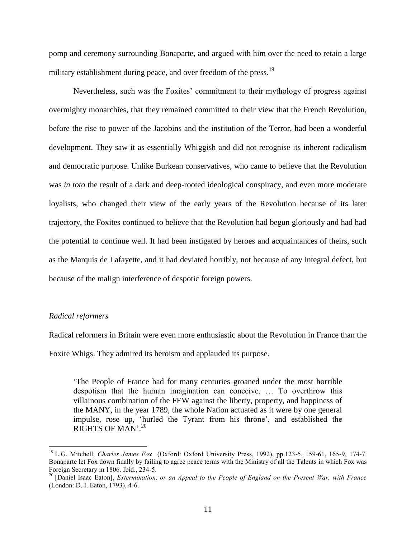pomp and ceremony surrounding Bonaparte, and argued with him over the need to retain a large military establishment during peace, and over freedom of the press.<sup>19</sup>

Nevertheless, such was the Foxites' commitment to their mythology of progress against overmighty monarchies, that they remained committed to their view that the French Revolution, before the rise to power of the Jacobins and the institution of the Terror, had been a wonderful development. They saw it as essentially Whiggish and did not recognise its inherent radicalism and democratic purpose. Unlike Burkean conservatives, who came to believe that the Revolution was *in toto* the result of a dark and deep-rooted ideological conspiracy, and even more moderate loyalists, who changed their view of the early years of the Revolution because of its later trajectory, the Foxites continued to believe that the Revolution had begun gloriously and had had the potential to continue well. It had been instigated by heroes and acquaintances of theirs, such as the Marquis de Lafayette, and it had deviated horribly, not because of any integral defect, but because of the malign interference of despotic foreign powers.

## *Radical reformers*

 $\overline{a}$ 

Radical reformers in Britain were even more enthusiastic about the Revolution in France than the

Foxite Whigs. They admired its heroism and applauded its purpose.

'The People of France had for many centuries groaned under the most horrible despotism that the human imagination can conceive. … To overthrow this villainous combination of the FEW against the liberty, property, and happiness of the MANY, in the year 1789, the whole Nation actuated as it were by one general impulse, rose up, 'hurled the Tyrant from his throne', and established the RIGHTS OF MAN'. 20

<sup>19</sup> L.G. Mitchell, *Charles James Fox* (Oxford: Oxford University Press, 1992), pp.123-5, 159-61, 165-9, 174-7. Bonaparte let Fox down finally by failing to agree peace terms with the Ministry of all the Talents in which Fox was Foreign Secretary in 1806. Ibid., 234-5.

<sup>20</sup> [Daniel Isaac Eaton], *Extermination, or an Appeal to the People of England on the Present War, with France* (London: D. I. Eaton, 1793), 4-6.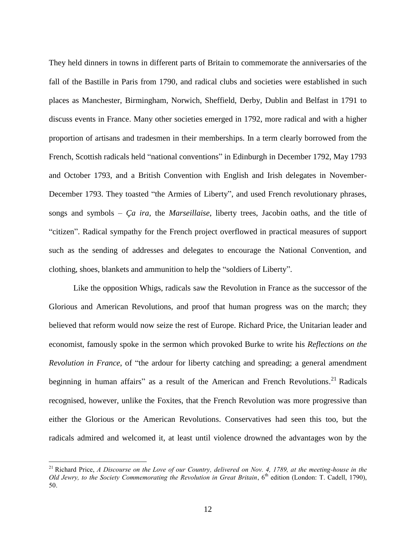They held dinners in towns in different parts of Britain to commemorate the anniversaries of the fall of the Bastille in Paris from 1790, and radical clubs and societies were established in such places as Manchester, Birmingham, Norwich, Sheffield, Derby, Dublin and Belfast in 1791 to discuss events in France. Many other societies emerged in 1792, more radical and with a higher proportion of artisans and tradesmen in their memberships. In a term clearly borrowed from the French, Scottish radicals held "national conventions" in Edinburgh in December 1792, May 1793 and October 1793, and a British Convention with English and Irish delegates in November-December 1793. They toasted "the Armies of Liberty", and used French revolutionary phrases, songs and symbols – *Ça ira,* the *Marseillaise*, liberty trees, Jacobin oaths, and the title of "citizen". Radical sympathy for the French project overflowed in practical measures of support such as the sending of addresses and delegates to encourage the National Convention, and clothing, shoes, blankets and ammunition to help the "soldiers of Liberty".

Like the opposition Whigs, radicals saw the Revolution in France as the successor of the Glorious and American Revolutions, and proof that human progress was on the march; they believed that reform would now seize the rest of Europe. Richard Price, the Unitarian leader and economist, famously spoke in the sermon which provoked Burke to write his *Reflections on the Revolution in France*, of "the ardour for liberty catching and spreading; a general amendment beginning in human affairs" as a result of the American and French Revolutions.<sup>21</sup> Radicals recognised, however, unlike the Foxites, that the French Revolution was more progressive than either the Glorious or the American Revolutions. Conservatives had seen this too, but the radicals admired and welcomed it, at least until violence drowned the advantages won by the

<sup>&</sup>lt;sup>21</sup> Richard Price, *A Discourse on the Love of our Country, delivered on Nov. 4, 1789, at the meeting-house in the Old Jewry, to the Society Commemorating the Revolution in Great Britain*, 6th edition (London: T. Cadell, 1790), 50.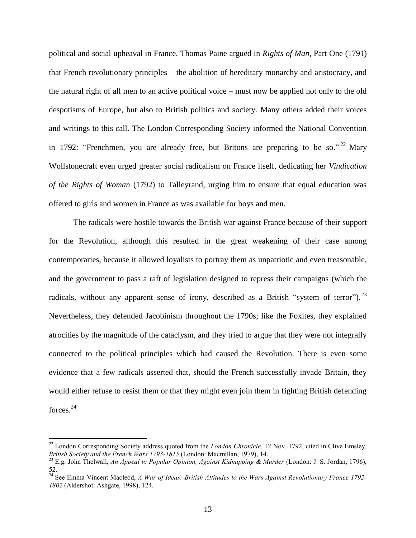political and social upheaval in France. Thomas Paine argued in *Rights of Man,* Part One (1791) that French revolutionary principles – the abolition of hereditary monarchy and aristocracy, and the natural right of all men to an active political voice – must now be applied not only to the old despotisms of Europe, but also to British politics and society. Many others added their voices and writings to this call. The London Corresponding Society informed the National Convention in 1792: "Frenchmen, you are already free, but Britons are preparing to be so."<sup>22</sup> Mary Wollstonecraft even urged greater social radicalism on France itself, dedicating her *Vindication of the Rights of Woman* (1792) to Talleyrand, urging him to ensure that equal education was offered to girls and women in France as was available for boys and men.

The radicals were hostile towards the British war against France because of their support for the Revolution, although this resulted in the great weakening of their case among contemporaries, because it allowed loyalists to portray them as unpatriotic and even treasonable, and the government to pass a raft of legislation designed to repress their campaigns (which the radicals, without any apparent sense of irony, described as a British "system of terror").<sup>23</sup> Nevertheless, they defended Jacobinism throughout the 1790s; like the Foxites, they explained atrocities by the magnitude of the cataclysm, and they tried to argue that they were not integrally connected to the political principles which had caused the Revolution. There is even some evidence that a few radicals asserted that, should the French successfully invade Britain, they would either refuse to resist them or that they might even join them in fighting British defending forces.<sup>24</sup>

<sup>&</sup>lt;sup>22</sup> London Corresponding Society address quoted from the *London Chronicle*, 12 Nov. 1792, cited in Clive Emsley, *British Society and the French Wars 1793-1815* (London: Macmillan, 1979), 14.

<sup>23</sup> E.g. John Thelwall, *An Appeal to Popular Opinion, Against Kidnapping & Murder* (London: J. S. Jordan, 1796), 52.

<sup>24</sup> See Emma Vincent Macleod, *A War of Ideas: British Attitudes to the Wars Against Revolutionary France 1792- 1802* (Aldershot: Ashgate, 1998), 124.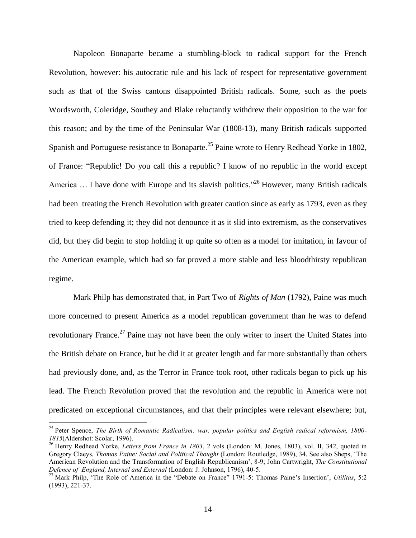Napoleon Bonaparte became a stumbling-block to radical support for the French Revolution, however: his autocratic rule and his lack of respect for representative government such as that of the Swiss cantons disappointed British radicals. Some, such as the poets Wordsworth, Coleridge, Southey and Blake reluctantly withdrew their opposition to the war for this reason; and by the time of the Peninsular War (1808-13), many British radicals supported Spanish and Portuguese resistance to Bonaparte.<sup>25</sup> Paine wrote to Henry Redhead Yorke in 1802, of France: "Republic! Do you call this a republic? I know of no republic in the world except America ... I have done with Europe and its slavish politics."<sup>26</sup> However, many British radicals had been treating the French Revolution with greater caution since as early as 1793, even as they tried to keep defending it; they did not denounce it as it slid into extremism, as the conservatives did, but they did begin to stop holding it up quite so often as a model for imitation, in favour of the American example, which had so far proved a more stable and less bloodthirsty republican regime.

Mark Philp has demonstrated that, in Part Two of *Rights of Man* (1792), Paine was much more concerned to present America as a model republican government than he was to defend revolutionary France.<sup>27</sup> Paine may not have been the only writer to insert the United States into the British debate on France, but he did it at greater length and far more substantially than others had previously done, and, as the Terror in France took root, other radicals began to pick up his lead. The French Revolution proved that the revolution and the republic in America were not predicated on exceptional circumstances, and that their principles were relevant elsewhere; but,

<sup>25</sup> Peter Spence, *The Birth of Romantic Radicalism: war, popular politics and English radical reformism, 1800- 1815*(Aldershot: Scolar, 1996).

<sup>26</sup> Henry Redhead Yorke, *Letters from France in 1803*, 2 vols (London: M. Jones, 1803), vol. II, 342, quoted in Gregory Claeys, *Thomas Paine: Social and Political Thought* (London: Routledge, 1989), 34. See also Sheps, 'The American Revolution and the Transformation of English Republicanism', 8-9; John Cartwright, *The Constitutional Defence of England, Internal and External* (London: J. Johnson, 1796), 40-5.

<sup>27</sup> Mark Philp, 'The Role of America in the "Debate on France" 1791-5: Thomas Paine's Insertion', *Utilitas*, 5:2 (1993), 221-37.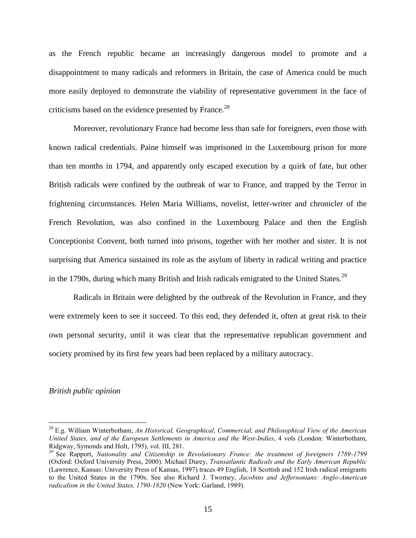as the French republic became an increasingly dangerous model to promote and a disappointment to many radicals and reformers in Britain, the case of America could be much more easily deployed to demonstrate the viability of representative government in the face of criticisms based on the evidence presented by France.<sup>28</sup>

Moreover, revolutionary France had become less than safe for foreigners, even those with known radical credentials. Paine himself was imprisoned in the Luxembourg prison for more than ten months in 1794, and apparently only escaped execution by a quirk of fate, but other British radicals were confined by the outbreak of war to France, and trapped by the Terror in frightening circumstances. Helen Maria Williams, novelist, letter-writer and chronicler of the French Revolution, was also confined in the Luxembourg Palace and then the English Conceptionist Convent, both turned into prisons, together with her mother and sister. It is not surprising that America sustained its role as the asylum of liberty in radical writing and practice in the 1790s, during which many British and Irish radicals emigrated to the United States.<sup>29</sup>

Radicals in Britain were delighted by the outbreak of the Revolution in France, and they were extremely keen to see it succeed. To this end, they defended it, often at great risk to their own personal security, until it was clear that the representative republican government and society promised by its first few years had been replaced by a military autocracy.

#### *British public opinion*

<sup>28</sup> E.g. William Winterbotham, *An Historical, Geographical, Commercial, and Philosophical View of the American United States, and of the European Settlements in America and the West-Indies*, 4 vols (London: Winterbotham, Ridgway, Symonds and Holt, 1795), vol. III, 281.

<sup>29</sup> See Rapport, *Nationality and Citizenship in Revolutionary France: the treatment of foreigners 1789-1799*  (Oxford: Oxford University Press, 2000). Michael Durey, *Transatlantic Radicals and the Early American Republic* (Lawrence, Kansas: University Press of Kansas, 1997) traces 49 English, 18 Scottish and 152 Irish radical emigrants to the United States in the 1790s. See also Richard J. Twomey, *Jacobins and Jeffersonians: Anglo-American radicalism in the United States, 1790-1820* (New York: Garland, 1989).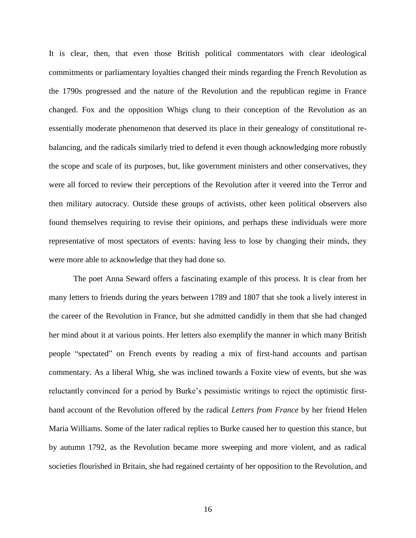It is clear, then, that even those British political commentators with clear ideological commitments or parliamentary loyalties changed their minds regarding the French Revolution as the 1790s progressed and the nature of the Revolution and the republican regime in France changed. Fox and the opposition Whigs clung to their conception of the Revolution as an essentially moderate phenomenon that deserved its place in their genealogy of constitutional rebalancing, and the radicals similarly tried to defend it even though acknowledging more robustly the scope and scale of its purposes, but, like government ministers and other conservatives, they were all forced to review their perceptions of the Revolution after it veered into the Terror and then military autocracy. Outside these groups of activists, other keen political observers also found themselves requiring to revise their opinions, and perhaps these individuals were more representative of most spectators of events: having less to lose by changing their minds, they were more able to acknowledge that they had done so.

The poet Anna Seward offers a fascinating example of this process. It is clear from her many letters to friends during the years between 1789 and 1807 that she took a lively interest in the career of the Revolution in France, but she admitted candidly in them that she had changed her mind about it at various points. Her letters also exemplify the manner in which many British people "spectated" on French events by reading a mix of first-hand accounts and partisan commentary. As a liberal Whig, she was inclined towards a Foxite view of events, but she was reluctantly convinced for a period by Burke's pessimistic writings to reject the optimistic firsthand account of the Revolution offered by the radical *Letters from France* by her friend Helen Maria Williams. Some of the later radical replies to Burke caused her to question this stance, but by autumn 1792, as the Revolution became more sweeping and more violent, and as radical societies flourished in Britain, she had regained certainty of her opposition to the Revolution, and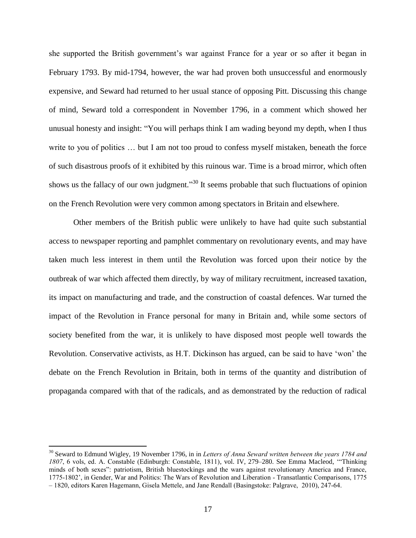she supported the British government's war against France for a year or so after it began in February 1793. By mid-1794, however, the war had proven both unsuccessful and enormously expensive, and Seward had returned to her usual stance of opposing Pitt. Discussing this change of mind, Seward told a correspondent in November 1796, in a comment which showed her unusual honesty and insight: "You will perhaps think I am wading beyond my depth, when I thus write to you of politics ... but I am not too proud to confess myself mistaken, beneath the force of such disastrous proofs of it exhibited by this ruinous war. Time is a broad mirror, which often shows us the fallacy of our own judgment."<sup>30</sup> It seems probable that such fluctuations of opinion on the French Revolution were very common among spectators in Britain and elsewhere.

Other members of the British public were unlikely to have had quite such substantial access to newspaper reporting and pamphlet commentary on revolutionary events, and may have taken much less interest in them until the Revolution was forced upon their notice by the outbreak of war which affected them directly, by way of military recruitment, increased taxation, its impact on manufacturing and trade, and the construction of coastal defences. War turned the impact of the Revolution in France personal for many in Britain and, while some sectors of society benefited from the war, it is unlikely to have disposed most people well towards the Revolution. Conservative activists, as H.T. Dickinson has argued, can be said to have 'won' the debate on the French Revolution in Britain, both in terms of the quantity and distribution of propaganda compared with that of the radicals, and as demonstrated by the reduction of radical

<sup>&</sup>lt;sup>30</sup> Seward to Edmund Wigley, 19 November 1796, in in *Letters of Anna Seward written between the years 1784 and 1807*, 6 vols, ed. A. Constable (Edinburgh: Constable, 1811), vol. IV, 279–280. See Emma Macleod, '"Thinking minds of both sexes": patriotism, British bluestockings and the wars against revolutionary America and France, 1775-1802', in Gender, War and Politics: The Wars of Revolution and Liberation - Transatlantic Comparisons, 1775 – 1820, editors Karen Hagemann, Gisela Mettele, and Jane Rendall (Basingstoke: Palgrave, 2010), 247-64.